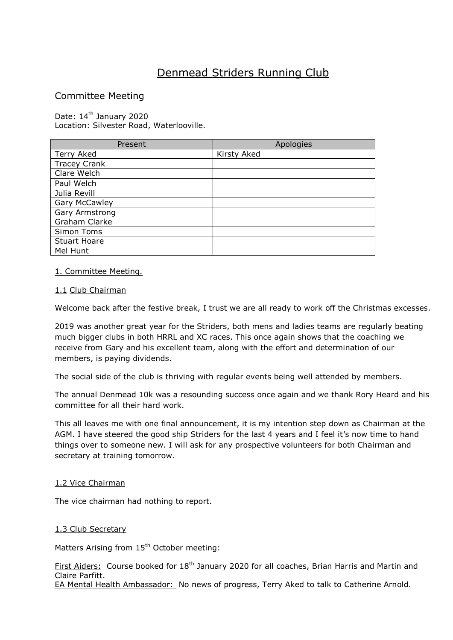# Denmead Striders Running Club

# Committee Meeting

Date: 14<sup>th</sup> January 2020 Location: Silvester Road, Waterlooville.

| Present              | Apologies   |
|----------------------|-------------|
| Terry Aked           | Kirsty Aked |
| <b>Tracey Crank</b>  |             |
| Clare Welch          |             |
| Paul Welch           |             |
| Julia Revill         |             |
| <b>Gary McCawley</b> |             |
| Gary Armstrong       |             |
| Graham Clarke        |             |
| Simon Toms           |             |
| <b>Stuart Hoare</b>  |             |
| Mel Hunt             |             |

# 1. Committee Meeting.

# 1.1 Club Chairman

Welcome back after the festive break, I trust we are all ready to work off the Christmas excesses.

2019 was another great year for the Striders, both mens and ladies teams are regularly beating much bigger clubs in both HRRL and XC races. This once again shows that the coaching we receive from Gary and his excellent team, along with the effort and determination of our members, is paying dividends.

The social side of the club is thriving with regular events being well attended by members.

The annual Denmead 10k was a resounding success once again and we thank Rory Heard and his committee for all their hard work.

This all leaves me with one final announcement, it is my intention step down as Chairman at the AGM. I have steered the good ship Striders for the last 4 years and I feel it's now time to hand things over to someone new. I will ask for any prospective volunteers for both Chairman and secretary at training tomorrow.

## 1.2 Vice Chairman

The vice chairman had nothing to report.

## 1.3 Club Secretary

Matters Arising from 15<sup>th</sup> October meeting:

First Aiders: Course booked for 18<sup>th</sup> January 2020 for all coaches, Brian Harris and Martin and Claire Parfitt.

EA Mental Health Ambassador: No news of progress, Terry Aked to talk to Catherine Arnold.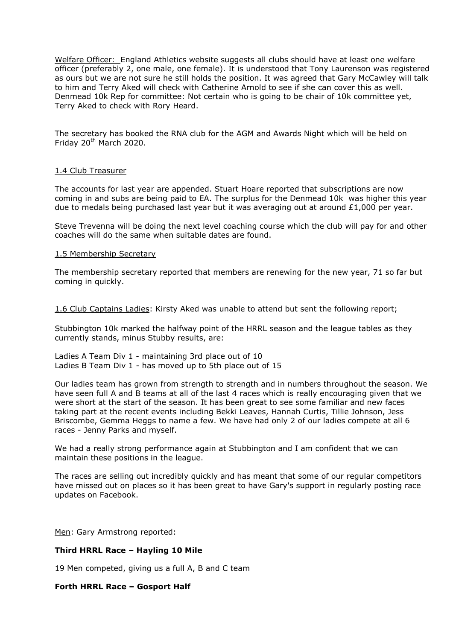Welfare Officer: England Athletics website suggests all clubs should have at least one welfare officer (preferably 2, one male, one female). It is understood that Tony Laurenson was registered as ours but we are not sure he still holds the position. It was agreed that Gary McCawley will talk to him and Terry Aked will check with Catherine Arnold to see if she can cover this as well. Denmead 10k Rep for committee: Not certain who is going to be chair of 10k committee yet, Terry Aked to check with Rory Heard.

The secretary has booked the RNA club for the AGM and Awards Night which will be held on Friday 20<sup>th</sup> March 2020.

#### 1.4 Club Treasurer

The accounts for last year are appended. Stuart Hoare reported that subscriptions are now coming in and subs are being paid to EA. The surplus for the Denmead 10k was higher this year due to medals being purchased last year but it was averaging out at around £1,000 per year.

Steve Trevenna will be doing the next level coaching course which the club will pay for and other coaches will do the same when suitable dates are found.

#### 1.5 Membership Secretary

The membership secretary reported that members are renewing for the new year, 71 so far but coming in quickly.

1.6 Club Captains Ladies: Kirsty Aked was unable to attend but sent the following report;

Stubbington 10k marked the halfway point of the HRRL season and the league tables as they currently stands, minus Stubby results, are:

Ladies A Team Div 1 - maintaining 3rd place out of 10 Ladies B Team Div 1 - has moved up to 5th place out of 15

Our ladies team has grown from strength to strength and in numbers throughout the season. We have seen full A and B teams at all of the last 4 races which is really encouraging given that we were short at the start of the season. It has been great to see some familiar and new faces taking part at the recent events including Bekki Leaves, Hannah Curtis, Tillie Johnson, Jess Briscombe, Gemma Heggs to name a few. We have had only 2 of our ladies compete at all 6 races - Jenny Parks and myself.

We had a really strong performance again at Stubbington and I am confident that we can maintain these positions in the league.

The races are selling out incredibly quickly and has meant that some of our regular competitors have missed out on places so it has been great to have Gary's support in regularly posting race updates on Facebook.

Men: Gary Armstrong reported:

## **Third HRRL Race – Hayling 10 Mile**

19 Men competed, giving us a full A, B and C team

#### **Forth HRRL Race – Gosport Half**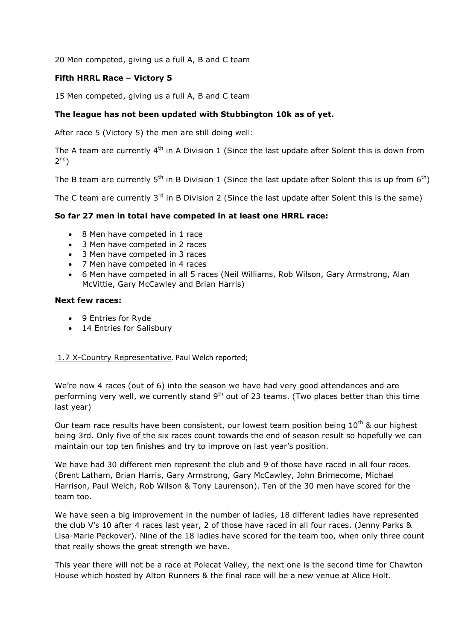20 Men competed, giving us a full A, B and C team

# **Fifth HRRL Race – Victory 5**

15 Men competed, giving us a full A, B and C team

# **The league has not been updated with Stubbington 10k as of yet.**

After race 5 (Victory 5) the men are still doing well:

The A team are currently 4<sup>th</sup> in A Division 1 (Since the last update after Solent this is down from  $2^{nd}$ )

The B team are currently  $5<sup>th</sup>$  in B Division 1 (Since the last update after Solent this is up from  $6<sup>th</sup>$ )

The C team are currently  $3^{rd}$  in B Division 2 (Since the last update after Solent this is the same)

# **So far 27 men in total have competed in at least one HRRL race:**

- 8 Men have competed in 1 race
- 3 Men have competed in 2 races
- 3 Men have competed in 3 races
- 7 Men have competed in 4 races
- 6 Men have competed in all 5 races (Neil Williams, Rob Wilson, Gary Armstrong, Alan McVittie, Gary McCawley and Brian Harris)

## **Next few races:**

- 9 Entries for Ryde
- 14 Entries for Salisbury

# 1.7 X-Country Representative. Paul Welch reported;

We're now 4 races (out of 6) into the season we have had very good attendances and are performing very well, we currently stand 9<sup>th</sup> out of 23 teams. (Two places better than this time last year)

Our team race results have been consistent, our lowest team position being  $10^{th}$  & our highest being 3rd. Only five of the six races count towards the end of season result so hopefully we can maintain our top ten finishes and try to improve on last year's position.

We have had 30 different men represent the club and 9 of those have raced in all four races. (Brent Latham, Brian Harris, Gary Armstrong, Gary McCawley, John Brimecome, Michael Harrison, Paul Welch, Rob Wilson & Tony Laurenson). Ten of the 30 men have scored for the team too.

We have seen a big improvement in the number of ladies, 18 different ladies have represented the club V's 10 after 4 races last year, 2 of those have raced in all four races. (Jenny Parks & Lisa-Marie Peckover). Nine of the 18 ladies have scored for the team too, when only three count that really shows the great strength we have.

This year there will not be a race at Polecat Valley, the next one is the second time for Chawton House which hosted by Alton Runners & the final race will be a new venue at Alice Holt.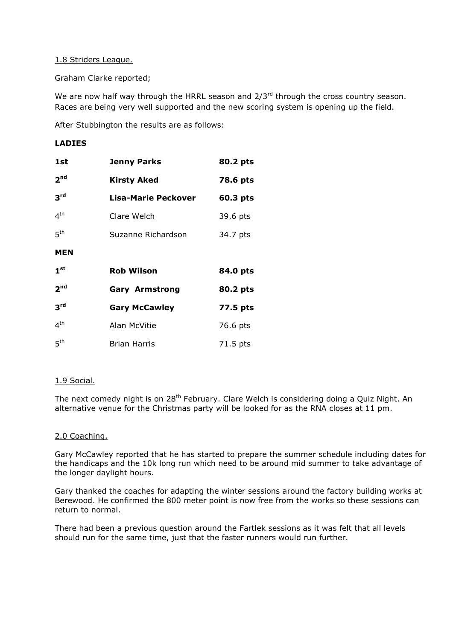# 1.8 Striders League.

Graham Clarke reported;

We are now half way through the HRRL season and  $2/3^{rd}$  through the cross country season. Races are being very well supported and the new scoring system is opening up the field.

After Stubbington the results are as follows:

# **LADIES**

| 1st             | <b>Jenny Parks</b>         | 80.2 pts |
|-----------------|----------------------------|----------|
| 2 <sup>nd</sup> | <b>Kirsty Aked</b>         | 78.6 pts |
| 3 <sup>rd</sup> | <b>Lisa-Marie Peckover</b> | 60.3 pts |
| 4 <sup>th</sup> | Clare Welch                | 39.6 pts |
| 5 <sup>th</sup> | Suzanne Richardson         | 34.7 pts |
| <b>MEN</b>      |                            |          |
| 1 <sup>st</sup> | <b>Rob Wilson</b>          | 84.0 pts |
| 2 <sup>nd</sup> | <b>Gary Armstrong</b>      | 80.2 pts |
| 3 <sup>rd</sup> | <b>Gary McCawley</b>       | 77.5 pts |
| 4 <sup>th</sup> | Alan McVitie               | 76.6 pts |
| 5 <sup>th</sup> | <b>Brian Harris</b>        | 71.5 pts |

# 1.9 Social.

The next comedy night is on 28<sup>th</sup> February. Clare Welch is considering doing a Quiz Night. An alternative venue for the Christmas party will be looked for as the RNA closes at 11 pm.

## 2.0 Coaching.

Gary McCawley reported that he has started to prepare the summer schedule including dates for the handicaps and the 10k long run which need to be around mid summer to take advantage of the longer daylight hours.

Gary thanked the coaches for adapting the winter sessions around the factory building works at Berewood. He confirmed the 800 meter point is now free from the works so these sessions can return to normal.

There had been a previous question around the Fartlek sessions as it was felt that all levels should run for the same time, just that the faster runners would run further.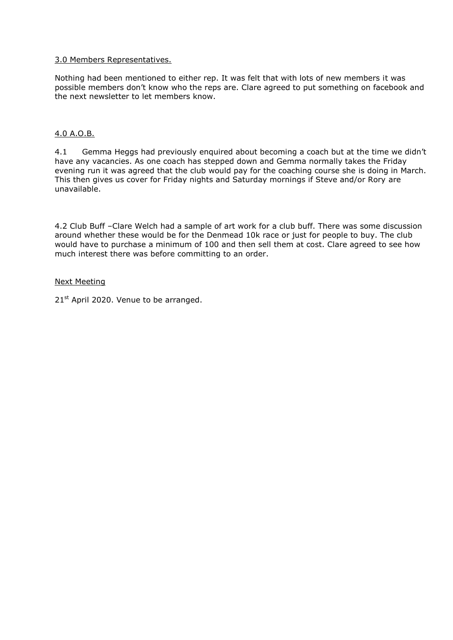# 3.0 Members Representatives.

Nothing had been mentioned to either rep. It was felt that with lots of new members it was possible members don't know who the reps are. Clare agreed to put something on facebook and the next newsletter to let members know.

# 4.0 A.O.B.

4.1 Gemma Heggs had previously enquired about becoming a coach but at the time we didn't have any vacancies. As one coach has stepped down and Gemma normally takes the Friday evening run it was agreed that the club would pay for the coaching course she is doing in March. This then gives us cover for Friday nights and Saturday mornings if Steve and/or Rory are unavailable.

4.2 Club Buff –Clare Welch had a sample of art work for a club buff. There was some discussion around whether these would be for the Denmead 10k race or just for people to buy. The club would have to purchase a minimum of 100 and then sell them at cost. Clare agreed to see how much interest there was before committing to an order.

## Next Meeting

21<sup>st</sup> April 2020. Venue to be arranged.